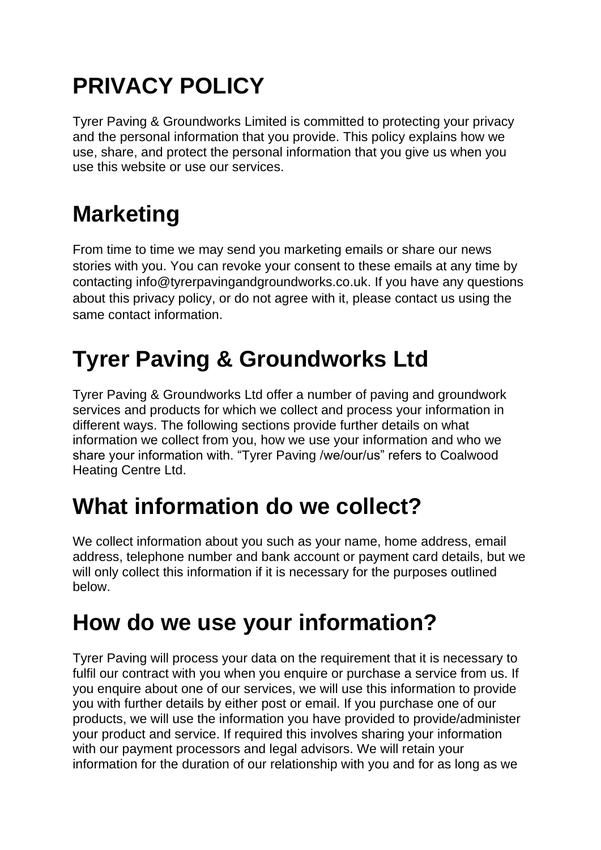# **PRIVACY POLICY**

Tyrer Paving & Groundworks Limited is committed to protecting your privacy and the personal information that you provide. This policy explains how we use, share, and protect the personal information that you give us when you use this website or use our services.

# **Marketing**

From time to time we may send you marketing emails or share our news stories with you. You can revoke your consent to these emails at any time by contacting info@tyrerpavingandgroundworks.co.uk. If you have any questions about this privacy policy, or do not agree with it, please contact us using the same contact information.

## **Tyrer Paving & Groundworks Ltd**

Tyrer Paving & Groundworks Ltd offer a number of paving and groundwork services and products for which we collect and process your information in different ways. The following sections provide further details on what information we collect from you, how we use your information and who we share your information with. "Tyrer Paving /we/our/us" refers to Coalwood Heating Centre Ltd.

#### **What information do we collect?**

We collect information about you such as your name, home address, email address, telephone number and bank account or payment card details, but we will only collect this information if it is necessary for the purposes outlined below.

### **How do we use your information?**

Tyrer Paving will process your data on the requirement that it is necessary to fulfil our contract with you when you enquire or purchase a service from us. If you enquire about one of our services, we will use this information to provide you with further details by either post or email. If you purchase one of our products, we will use the information you have provided to provide/administer your product and service. If required this involves sharing your information with our payment processors and legal advisors. We will retain your information for the duration of our relationship with you and for as long as we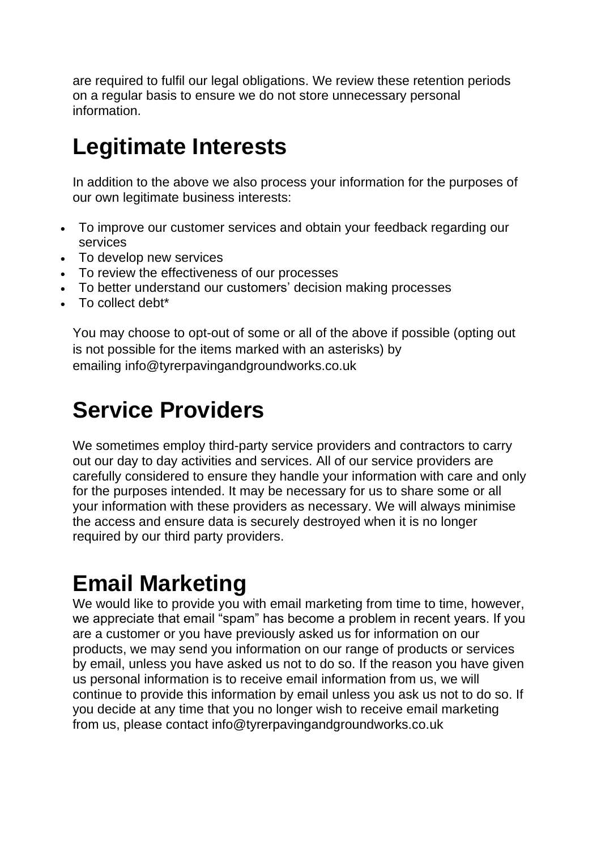are required to fulfil our legal obligations. We review these retention periods on a regular basis to ensure we do not store unnecessary personal information.

#### **Legitimate Interests**

In addition to the above we also process your information for the purposes of our own legitimate business interests:

- To improve our customer services and obtain your feedback regarding our services
- To develop new services
- To review the effectiveness of our processes
- To better understand our customers' decision making processes
- To collect debt\*

You may choose to opt-out of some or all of the above if possible (opting out is not possible for the items marked with an asterisks) by emailing info@tyrerpavingandgroundworks.co.uk

#### **Service Providers**

We sometimes employ third-party service providers and contractors to carry out our day to day activities and services. All of our service providers are carefully considered to ensure they handle your information with care and only for the purposes intended. It may be necessary for us to share some or all your information with these providers as necessary. We will always minimise the access and ensure data is securely destroyed when it is no longer required by our third party providers.

#### **Email Marketing**

We would like to provide you with email marketing from time to time, however, we appreciate that email "spam" has become a problem in recent years. If you are a customer or you have previously asked us for information on our products, we may send you information on our range of products or services by email, unless you have asked us not to do so. If the reason you have given us personal information is to receive email information from us, we will continue to provide this information by email unless you ask us not to do so. If you decide at any time that you no longer wish to receive email marketing from us, please contact info@tyrerpavingandgroundworks.co.uk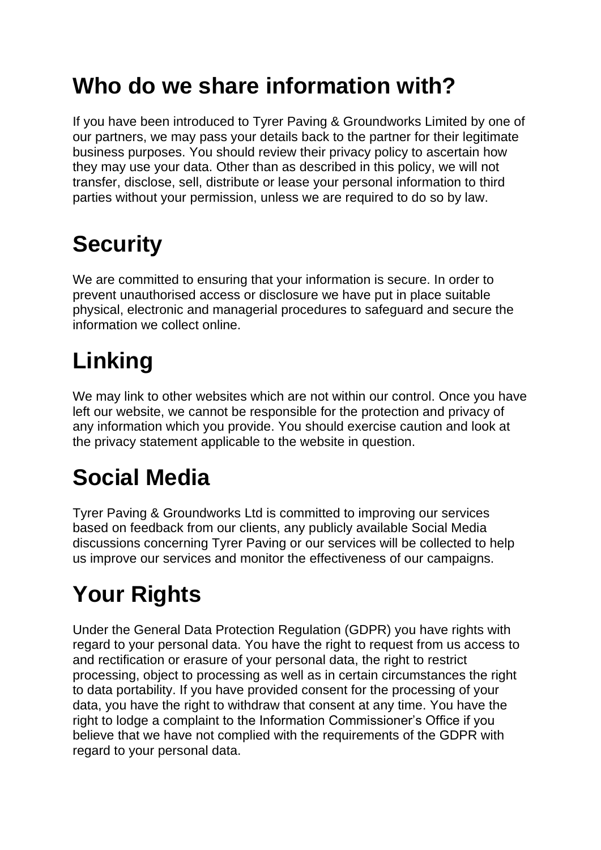### **Who do we share information with?**

If you have been introduced to Tyrer Paving & Groundworks Limited by one of our partners, we may pass your details back to the partner for their legitimate business purposes. You should review their privacy policy to ascertain how they may use your data. Other than as described in this policy, we will not transfer, disclose, sell, distribute or lease your personal information to third parties without your permission, unless we are required to do so by law.

# **Security**

We are committed to ensuring that your information is secure. In order to prevent unauthorised access or disclosure we have put in place suitable physical, electronic and managerial procedures to safeguard and secure the information we collect online.

## **Linking**

We may link to other websites which are not within our control. Once you have left our website, we cannot be responsible for the protection and privacy of any information which you provide. You should exercise caution and look at the privacy statement applicable to the website in question.

## **Social Media**

Tyrer Paving & Groundworks Ltd is committed to improving our services based on feedback from our clients, any publicly available Social Media discussions concerning Tyrer Paving or our services will be collected to help us improve our services and monitor the effectiveness of our campaigns.

# **Your Rights**

Under the General Data Protection Regulation (GDPR) you have rights with regard to your personal data. You have the right to request from us access to and rectification or erasure of your personal data, the right to restrict processing, object to processing as well as in certain circumstances the right to data portability. If you have provided consent for the processing of your data, you have the right to withdraw that consent at any time. You have the right to lodge a complaint to the Information Commissioner's Office if you believe that we have not complied with the requirements of the GDPR with regard to your personal data.